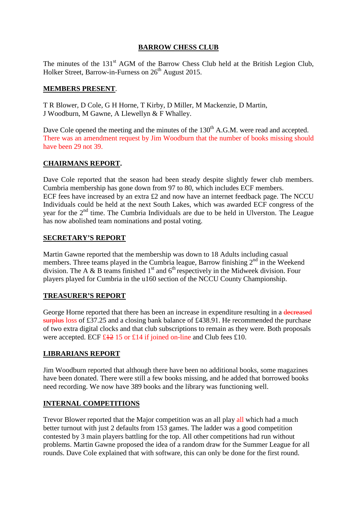## **BARROW CHESS CLUB**

The minutes of the 131<sup>st</sup> AGM of the Barrow Chess Club held at the British Legion Club, Holker Street, Barrow-in-Furness on  $26<sup>th</sup>$  August 2015.

#### **MEMBERS PRESENT**.

T R Blower, D Cole, G H Horne, T Kirby, D Miller, M Mackenzie, D Martin, J Woodburn, M Gawne, A Llewellyn & F Whalley.

Dave Cole opened the meeting and the minutes of the 130<sup>th</sup> A.G.M. were read and accepted. There was an amendment request by Jim Woodburn that the number of books missing should have been 29 not 39.

## **CHAIRMANS REPORT.**

Dave Cole reported that the season had been steady despite slightly fewer club members. Cumbria membership has gone down from 97 to 80, which includes ECF members. ECF fees have increased by an extra £2 and now have an internet feedback page. The NCCU Individuals could be held at the next South Lakes, which was awarded ECF congress of the year for the  $2<sup>nd</sup>$  time. The Cumbria Individuals are due to be held in Ulverston. The League has now abolished team nominations and postal voting.

#### **SECRETARY'S REPORT**

Martin Gawne reported that the membership was down to 18 Adults including casual members. Three teams played in the Cumbria league, Barrow finishing  $2<sup>nd</sup>$  in the Weekend division. The A & B teams finished  $1<sup>st</sup>$  and  $6<sup>th</sup>$  respectively in the Midweek division. Four players played for Cumbria in the u160 section of the NCCU County Championship.

## **TREASURER'S REPORT**

George Horne reported that there has been an increase in expenditure resulting in a decreased surplus loss of £37.25 and a closing bank balance of £438.91. He recommended the purchase of two extra digital clocks and that club subscriptions to remain as they were. Both proposals were accepted. ECF  $\text{\textsterling}42$  15 or £14 if joined on-line and Club fees £10.

## **LIBRARIANS REPORT**

Jim Woodburn reported that although there have been no additional books, some magazines have been donated. There were still a few books missing, and he added that borrowed books need recording. We now have 389 books and the library was functioning well.

## **INTERNAL COMPETITIONS**

Trevor Blower reported that the Major competition was an all play all which had a much better turnout with just 2 defaults from 153 games. The ladder was a good competition contested by 3 main players battling for the top. All other competitions had run without problems. Martin Gawne proposed the idea of a random draw for the Summer League for all rounds. Dave Cole explained that with software, this can only be done for the first round.